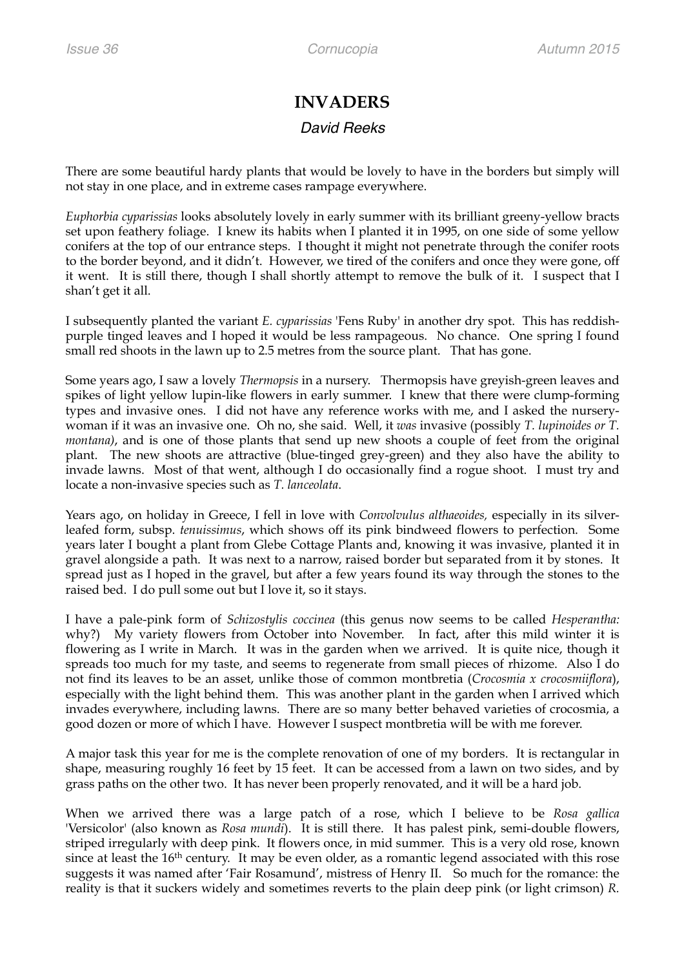## **INVADERS**

## *David Reeks*

There are some beautiful hardy plants that would be lovely to have in the borders but simply will not stay in one place, and in extreme cases rampage everywhere.

*Euphorbia cyparissias* looks absolutely lovely in early summer with its brilliant greeny-yellow bracts set upon feathery foliage. I knew its habits when I planted it in 1995, on one side of some yellow conifers at the top of our entrance steps. I thought it might not penetrate through the conifer roots to the border beyond, and it didn't. However, we tired of the conifers and once they were gone, off it went. It is still there, though I shall shortly attempt to remove the bulk of it. I suspect that I shan't get it all.

I subsequently planted the variant *E. cyparissias* 'Fens Ruby' in another dry spot. This has reddishpurple tinged leaves and I hoped it would be less rampageous. No chance. One spring I found small red shoots in the lawn up to 2.5 metres from the source plant. That has gone.

Some years ago, I saw a lovely *Thermopsis* in a nursery. Thermopsis have greyish-green leaves and spikes of light yellow lupin-like flowers in early summer. I knew that there were clump-forming types and invasive ones. I did not have any reference works with me, and I asked the nurserywoman if it was an invasive one. Oh no, she said. Well, it *was* invasive (possibly *T. lupinoides or T. montana*), and is one of those plants that send up new shoots a couple of feet from the original plant. The new shoots are attractive (blue-tinged grey-green) and they also have the ability to invade lawns. Most of that went, although I do occasionally find a rogue shoot. I must try and locate a non-invasive species such as *T. lanceolata*.

Years ago, on holiday in Greece, I fell in love with *Convolvulus althaeoides,* especially in its silverleafed form, subsp. *tenuissimus*, which shows off its pink bindweed flowers to perfection. Some years later I bought a plant from Glebe Cottage Plants and, knowing it was invasive, planted it in gravel alongside a path. It was next to a narrow, raised border but separated from it by stones. It spread just as I hoped in the gravel, but after a few years found its way through the stones to the raised bed. I do pull some out but I love it, so it stays.

I have a pale-pink form of *Schizostylis coccinea* (this genus now seems to be called *Hesperantha:* why?) My variety flowers from October into November. In fact, after this mild winter it is flowering as I write in March. It was in the garden when we arrived. It is quite nice, though it spreads too much for my taste, and seems to regenerate from small pieces of rhizome. Also I do not find its leaves to be an asset, unlike those of common montbretia (*Crocosmia x crocosmiiflora*), especially with the light behind them. This was another plant in the garden when I arrived which invades everywhere, including lawns. There are so many better behaved varieties of crocosmia, a good dozen or more of which I have. However I suspect montbretia will be with me forever.

A major task this year for me is the complete renovation of one of my borders. It is rectangular in shape, measuring roughly 16 feet by 15 feet. It can be accessed from a lawn on two sides, and by grass paths on the other two. It has never been properly renovated, and it will be a hard job.

When we arrived there was a large patch of a rose, which I believe to be *Rosa gallica*  'Versicolor' (also known as *Rosa mundi*). It is still there. It has palest pink, semi-double flowers, striped irregularly with deep pink. It flowers once, in mid summer. This is a very old rose, known since at least the 16<sup>th</sup> century. It may be even older, as a romantic legend associated with this rose suggests it was named after 'Fair Rosamund', mistress of Henry II. So much for the romance: the reality is that it suckers widely and sometimes reverts to the plain deep pink (or light crimson) *R.*